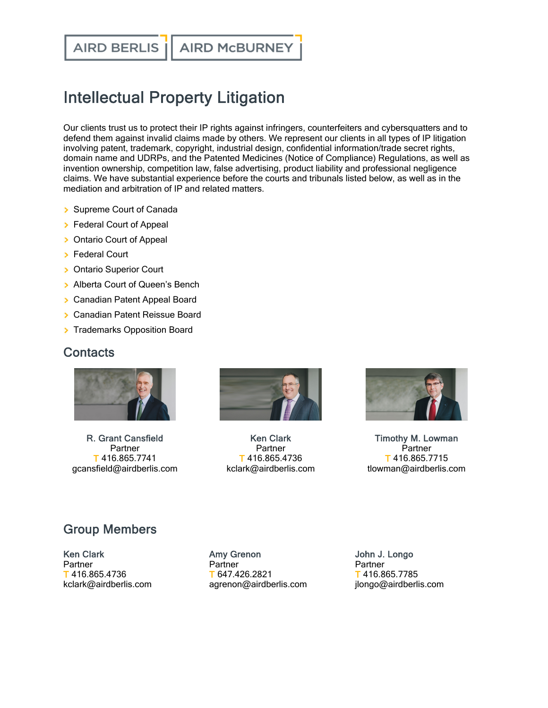**AIRD BERLIS** 

## Intellectual Property Litigation

Our clients trust us to protect their IP rights against infringers, counterfeiters and cybersquatters and to defend them against invalid claims made by others. We represent our clients in all types of IP litigation involving patent, trademark, copyright, industrial design, confidential information/trade secret rights, domain name and UDRPs, and the Patented Medicines (Notice of Compliance) Regulations, as well as invention ownership, competition law, false advertising, product liability and professional negligence claims. We have substantial experience before the courts and tribunals listed below, as well as in the mediation and arbitration of IP and related matters.

- Supreme Court of Canada
- **>** Federal Court of Appeal
- > Ontario Court of Appeal
- **> Federal Court**
- **>** Ontario Superior Court
- > Alberta Court of Queen's Bench
- **> Canadian Patent Appeal Board**
- **Canadian Patent Reissue Board**
- **Trademarks Opposition Board**

## **Contacts**



R. Grant [Cansfield](https://www.airdberlis.com/people/bio/r-grant-cansfield) Partner T 416.865.7741 gcansfield@airdberlis.com



Ken [Clark](https://www.airdberlis.com/people/bio/ken-clark) Partner T 416.865.4736 kclark@airdberlis.com



Timothy M. [Lowman](https://www.airdberlis.com/people/bio/timothy-m-lowman) **Partner** T 416.865.7715 tlowman@airdberlis.com

## Group Members

Ken [Clark](https://www.airdberlis.com/people/bio/ken-clark) **Partner** T 416.865.4736 kclark@airdberlis.com

Amy [Grenon](https://www.airdberlis.com/people/bio/amy-grenon) **Partner** T 647.426.2821 agrenon@airdberlis.com John J. [Longo](https://www.airdberlis.com/people/bio/john-j-longo) Partner T 416.865.7785 jlongo@airdberlis.com